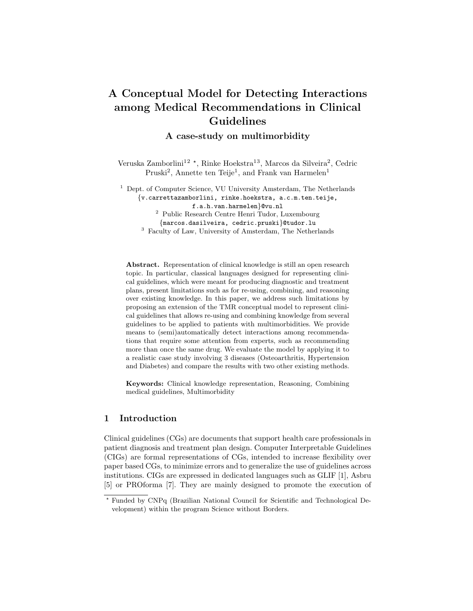# A Conceptual Model for Detecting Interactions among Medical Recommendations in Clinical Guidelines

A case-study on multimorbidity

Veruska Zamborlini<sup>12</sup><sup>\*</sup>, Rinke Hoekstra<sup>13</sup>, Marcos da Silveira<sup>2</sup>, Cedric Pruski<sup>2</sup>, Annette ten Teije<sup>1</sup>, and Frank van Harmelen<sup>1</sup>

<sup>1</sup> Dept. of Computer Science, VU University Amsterdam, The Netherlands {v.carrettazamborlini, rinke.hoekstra, a.c.m.ten.teije, f.a.h.van.harmelen}@vu.nl

<sup>2</sup> Public Research Centre Henri Tudor, Luxembourg

{marcos.dasilveira, cedric.pruski}@tudor.lu

<sup>3</sup> Faculty of Law, University of Amsterdam, The Netherlands

Abstract. Representation of clinical knowledge is still an open research topic. In particular, classical languages designed for representing clinical guidelines, which were meant for producing diagnostic and treatment plans, present limitations such as for re-using, combining, and reasoning over existing knowledge. In this paper, we address such limitations by proposing an extension of the TMR conceptual model to represent clinical guidelines that allows re-using and combining knowledge from several guidelines to be applied to patients with multimorbidities. We provide means to (semi)automatically detect interactions among recommendations that require some attention from experts, such as recommending more than once the same drug. We evaluate the model by applying it to a realistic case study involving 3 diseases (Osteoarthritis, Hypertension and Diabetes) and compare the results with two other existing methods.

Keywords: Clinical knowledge representation, Reasoning, Combining medical guidelines, Multimorbidity

### 1 Introduction

Clinical guidelines (CGs) are documents that support health care professionals in patient diagnosis and treatment plan design. Computer Interpretable Guidelines (CIGs) are formal representations of CGs, intended to increase flexibility over paper based CGs, to minimize errors and to generalize the use of guidelines across institutions. CIGs are expressed in dedicated languages such as GLIF [1], Asbru [5] or PROforma [7]. They are mainly designed to promote the execution of

<sup>?</sup> Funded by CNPq (Brazilian National Council for Scientific and Technological Development) within the program Science without Borders.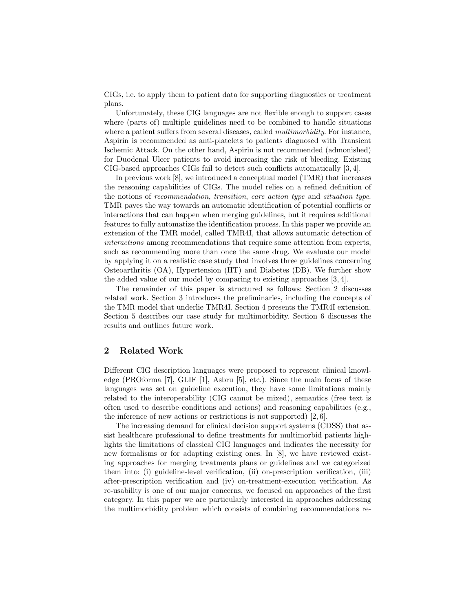CIGs, i.e. to apply them to patient data for supporting diagnostics or treatment plans.

Unfortunately, these CIG languages are not flexible enough to support cases where (parts of) multiple guidelines need to be combined to handle situations where a patient suffers from several diseases, called *multimorbidity*. For instance, Aspirin is recommended as anti-platelets to patients diagnosed with Transient Ischemic Attack. On the other hand, Aspirin is not recommended (admonished) for Duodenal Ulcer patients to avoid increasing the risk of bleeding. Existing CIG-based approaches CIGs fail to detect such conflicts automatically [3, 4].

In previous work [8], we introduced a conceptual model (TMR) that increases the reasoning capabilities of CIGs. The model relies on a refined definition of the notions of recommendation, transition, care action type and situation type. TMR paves the way towards an automatic identification of potential conflicts or interactions that can happen when merging guidelines, but it requires additional features to fully automatize the identification process. In this paper we provide an extension of the TMR model, called TMR4I, that allows automatic detection of interactions among recommendations that require some attention from experts, such as recommending more than once the same drug. We evaluate our model by applying it on a realistic case study that involves three guidelines concerning Osteoarthritis (OA), Hypertension (HT) and Diabetes (DB). We further show the added value of our model by comparing to existing approaches [3, 4].

The remainder of this paper is structured as follows: Section 2 discusses related work. Section 3 introduces the preliminaries, including the concepts of the TMR model that underlie TMR4I. Section 4 presents the TMR4I extension. Section 5 describes our case study for multimorbidity. Section 6 discusses the results and outlines future work.

#### 2 Related Work

Different CIG description languages were proposed to represent clinical knowledge (PROforma [7], GLIF [1], Asbru [5], etc.). Since the main focus of these languages was set on guideline execution, they have some limitations mainly related to the interoperability (CIG cannot be mixed), semantics (free text is often used to describe conditions and actions) and reasoning capabilities (e.g., the inference of new actions or restrictions is not supported)  $[2, 6]$ .

The increasing demand for clinical decision support systems (CDSS) that assist healthcare professional to define treatments for multimorbid patients highlights the limitations of classical CIG languages and indicates the necessity for new formalisms or for adapting existing ones. In [8], we have reviewed existing approaches for merging treatments plans or guidelines and we categorized them into: (i) guideline-level verification, (ii) on-prescription verification, (iii) after-prescription verification and (iv) on-treatment-execution verification. As re-usability is one of our major concerns, we focused on approaches of the first category. In this paper we are particularly interested in approaches addressing the multimorbidity problem which consists of combining recommendations re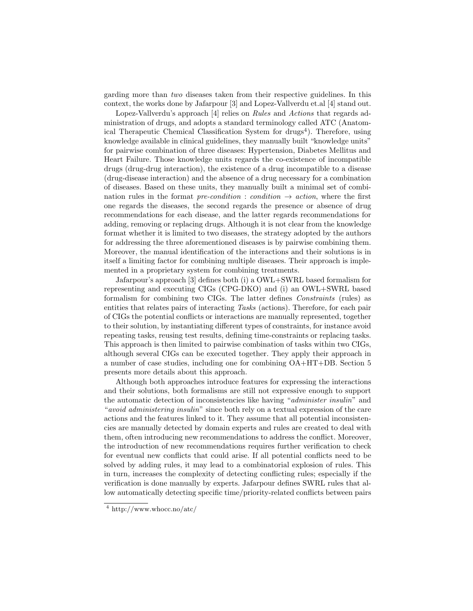garding more than two diseases taken from their respective guidelines. In this context, the works done by Jafarpour [3] and Lopez-Vallverdu et.al [4] stand out.

Lopez-Vallverdu's approach [4] relies on *Rules* and *Actions* that regards administration of drugs, and adopts a standard terminology called ATC (Anatomical Therapeutic Chemical Classification System for drugs<sup>4</sup>). Therefore, using knowledge available in clinical guidelines, they manually built "knowledge units" for pairwise combination of three diseases: Hypertension, Diabetes Mellitus and Heart Failure. Those knowledge units regards the co-existence of incompatible drugs (drug-drug interaction), the existence of a drug incompatible to a disease (drug-disease interaction) and the absence of a drug necessary for a combination of diseases. Based on these units, they manually built a minimal set of combination rules in the format pre-condition : condition  $\rightarrow$  action, where the first one regards the diseases, the second regards the presence or absence of drug recommendations for each disease, and the latter regards recommendations for adding, removing or replacing drugs. Although it is not clear from the knowledge format whether it is limited to two diseases, the strategy adopted by the authors for addressing the three aforementioned diseases is by pairwise combining them. Moreover, the manual identification of the interactions and their solutions is in itself a limiting factor for combining multiple diseases. Their approach is implemented in a proprietary system for combining treatments.

Jafarpour's approach [3] defines both (i) a OWL+SWRL based formalism for representing and executing CIGs (CPG-DKO) and (i) an OWL+SWRL based formalism for combining two CIGs. The latter defines Constraints (rules) as entities that relates pairs of interacting Tasks (actions). Therefore, for each pair of CIGs the potential conflicts or interactions are manually represented, together to their solution, by instantiating different types of constraints, for instance avoid repeating tasks, reusing test results, defining time-constraints or replacing tasks. This approach is then limited to pairwise combination of tasks within two CIGs, although several CIGs can be executed together. They apply their approach in a number of case studies, including one for combining OA+HT+DB. Section 5 presents more details about this approach.

Although both approaches introduce features for expressing the interactions and their solutions, both formalisms are still not expressive enough to support the automatic detection of inconsistencies like having "administer insulin" and "avoid administering insulin" since both rely on a textual expression of the care actions and the features linked to it. They assume that all potential inconsistencies are manually detected by domain experts and rules are created to deal with them, often introducing new recommendations to address the conflict. Moreover, the introduction of new recommendations requires further verification to check for eventual new conflicts that could arise. If all potential conflicts need to be solved by adding rules, it may lead to a combinatorial explosion of rules. This in turn, increases the complexity of detecting conflicting rules; especially if the verification is done manually by experts. Jafarpour defines SWRL rules that allow automatically detecting specific time/priority-related conflicts between pairs

<sup>4</sup> http://www.whocc.no/atc/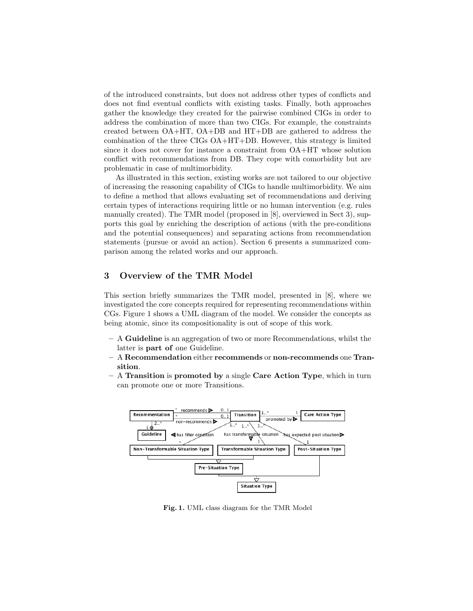of the introduced constraints, but does not address other types of conflicts and does not find eventual conflicts with existing tasks. Finally, both approaches gather the knowledge they created for the pairwise combined CIGs in order to address the combination of more than two CIGs. For example, the constraints created between OA+HT, OA+DB and HT+DB are gathered to address the combination of the three CIGs OA+HT+DB. However, this strategy is limited since it does not cover for instance a constraint from OA+HT whose solution conflict with recommendations from DB. They cope with comorbidity but are problematic in case of multimorbidity.

As illustrated in this section, existing works are not tailored to our objective of increasing the reasoning capability of CIGs to handle multimorbidity. We aim to define a method that allows evaluating set of recommendations and deriving certain types of interactions requiring little or no human intervention (e.g. rules manually created). The TMR model (proposed in [8], overviewed in Sect 3), supports this goal by enriching the description of actions (with the pre-conditions and the potential consequences) and separating actions from recommendation statements (pursue or avoid an action). Section 6 presents a summarized comparison among the related works and our approach.

# 3 Overview of the TMR Model

This section briefly summarizes the TMR model, presented in [8], where we investigated the core concepts required for representing recommendations within CGs. Figure 1 shows a UML diagram of the model. We consider the concepts as being atomic, since its compositionality is out of scope of this work.

- A Guideline is an aggregation of two or more Recommendations, whilst the latter is part of one Guideline.
- A Recommendation either recommends or non-recommends one Transition.
- $-$  A Transition is promoted by a single Care Action Type, which in turn can promote one or more Transitions.



Fig. 1. UML class diagram for the TMR Model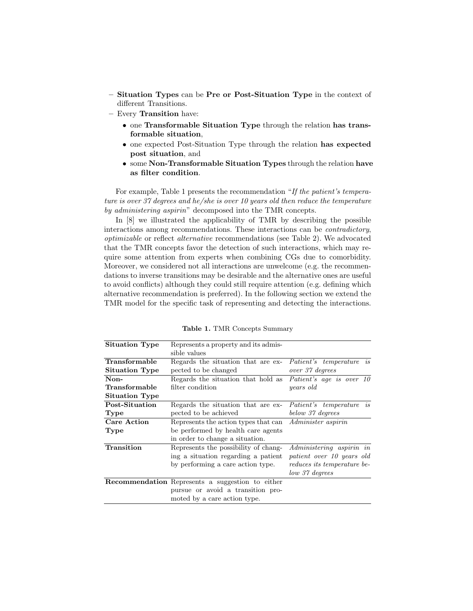- Situation Types can be Pre or Post-Situation Type in the context of different Transitions.
- Every Transition have:
	- one Transformable Situation Type through the relation has transformable situation,
	- one expected Post-Situation Type through the relation has expected post situation, and
	- some Non-Transformable Situation Types through the relation have as filter condition.

For example, Table 1 presents the recommendation "If the patient's temperature is over 37 degrees and he/she is over 10 years old then reduce the temperature by administering aspirin" decomposed into the TMR concepts.

In [8] we illustrated the applicability of TMR by describing the possible interactions among recommendations. These interactions can be contradictory, optimizable or reflect alternative recommendations (see Table 2). We advocated that the TMR concepts favor the detection of such interactions, which may require some attention from experts when combining CGs due to comorbidity. Moreover, we considered not all interactions are unwelcome (e.g. the recommendations to inverse transitions may be desirable and the alternative ones are useful to avoid conflicts) although they could still require attention (e.g. defining which alternative recommendation is preferred). In the following section we extend the TMR model for the specific task of representing and detecting the interactions.

| <b>Situation Type</b> | Represents a property and its admis-                    |                                             |  |  |
|-----------------------|---------------------------------------------------------|---------------------------------------------|--|--|
|                       | sible values                                            |                                             |  |  |
| Transformable         | Regards the situation that are ex-                      | Patient's temperature is                    |  |  |
| <b>Situation Type</b> | pected to be changed                                    | over 37 degrees                             |  |  |
| Non-                  | Regards the situation that hold as                      | Patient's age is over 10                    |  |  |
| Transformable         | filter condition                                        | years old                                   |  |  |
| <b>Situation Type</b> |                                                         |                                             |  |  |
| Post-Situation        | Regards the situation that are ex-                      | <i>Patient's</i> temperature<br>$i_{\rm s}$ |  |  |
| Type                  | pected to be achieved                                   | below 37 degrees                            |  |  |
| <b>Care Action</b>    | Represents the action types that can                    | Administer aspirin                          |  |  |
| Type                  | be performed by health care agents                      |                                             |  |  |
|                       | in order to change a situation.                         |                                             |  |  |
| Transition            | Represents the possibility of chang-                    | $Administering$ aspirin in                  |  |  |
|                       | ing a situation regarding a patient                     | patient over 10 years old                   |  |  |
|                       | by performing a care action type.                       | reduces its temperature be-                 |  |  |
|                       |                                                         | low 37 degrees                              |  |  |
|                       | <b>Recommendation</b> Represents a suggestion to either |                                             |  |  |
|                       | pursue or avoid a transition pro-                       |                                             |  |  |
|                       | moted by a care action type.                            |                                             |  |  |

Table 1. TMR Concepts Summary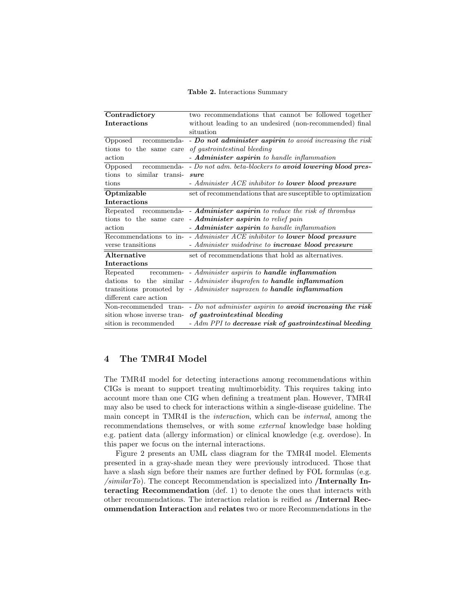Table 2. Interactions Summary

| Contradictory            | two recommendations that cannot be followed together                            |  |  |
|--------------------------|---------------------------------------------------------------------------------|--|--|
| <b>Interactions</b>      | without leading to an undesired (non-recommended) final                         |  |  |
|                          | situation                                                                       |  |  |
| Opposed                  | recommenda- - Do not administer aspirin to avoid increasing the risk            |  |  |
| tions to the same care   | of gastrointestinal bleeding                                                    |  |  |
| action                   | - Administer aspirin to handle inflammation                                     |  |  |
| Opposed                  | recommenda- - Do not adm. beta-blockers to avoid lowering blood pres-           |  |  |
| tions to similar transi- | sure                                                                            |  |  |
| tions                    | - Administer ACE inhibitor to <b>lower blood</b> pressure                       |  |  |
| Optmizable               | set of recommendations that are susceptible to optimization                     |  |  |
| <b>Interactions</b>      |                                                                                 |  |  |
|                          | Repeated recommenda- - Administer aspirin to reduce the risk of thrombus        |  |  |
|                          | tions to the same care - Administer aspirin to relief pain                      |  |  |
| action                   | - Administer aspirin to handle inflammation                                     |  |  |
|                          | Recommendations to in- - Administer ACE inhibitor to lower blood pressure       |  |  |
| verse transitions        | - Administer midodrine to <b>increase blood</b> pressure                        |  |  |
| Alternative              | set of recommendations that hold as alternatives.                               |  |  |
| <b>Interactions</b>      |                                                                                 |  |  |
| Repeated                 | recommen- - Administer aspirin to handle inflammation                           |  |  |
|                          | dations to the similar - Administer ibuprofen to handle inflammation            |  |  |
|                          | transitions promoted by - Administer naproxen to handle inflammation            |  |  |
| different care action    |                                                                                 |  |  |
|                          | Non-recommended tran- - Do not administer aspiring to avoid increasing the risk |  |  |
|                          | sition whose inverse tran- of gastrointestinal bleeding                         |  |  |
| sition is recommended    | - Adm PPI to decrease risk of gastrointestinal bleeding                         |  |  |

# 4 The TMR4I Model

The TMR4I model for detecting interactions among recommendations within CIGs is meant to support treating multimorbidity. This requires taking into account more than one CIG when defining a treatment plan. However, TMR4I may also be used to check for interactions within a single-disease guideline. The main concept in TMR4I is the interaction, which can be internal, among the recommendations themselves, or with some external knowledge base holding e.g. patient data (allergy information) or clinical knowledge (e.g. overdose). In this paper we focus on the internal interactions.

Figure 2 presents an UML class diagram for the TMR4I model. Elements presented in a gray-shade mean they were previously introduced. Those that have a slash sign before their names are further defined by FOL formulas (e.g.  $\sin \theta$ . The concept Recommendation is specialized into **/Internally In**teracting Recommendation (def. 1) to denote the ones that interacts with other recommendations. The interaction relation is reified as /Internal Recommendation Interaction and relates two or more Recommendations in the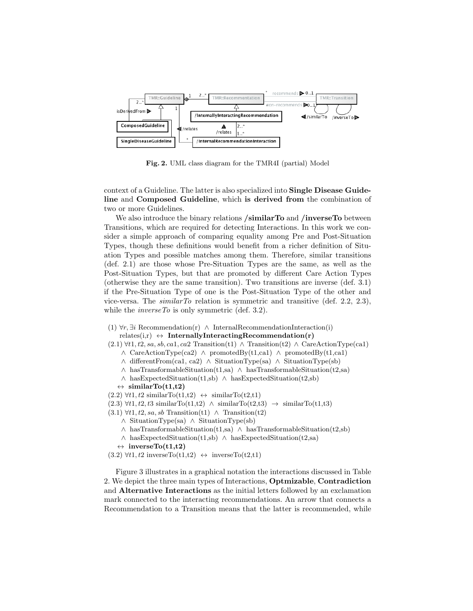

Fig. 2. UML class diagram for the TMR4I (partial) Model

context of a Guideline. The latter is also specialized into Single Disease Guideline and Composed Guideline, which is derived from the combination of two or more Guidelines.

We also introduce the binary relations /similarTo and /inverseTo between Transitions, which are required for detecting Interactions. In this work we consider a simple approach of comparing equality among Pre and Post-Situation Types, though these definitions would benefit from a richer definition of Situation Types and possible matches among them. Therefore, similar transitions (def. 2.1) are those whose Pre-Situation Types are the same, as well as the Post-Situation Types, but that are promoted by different Care Action Types (otherwise they are the same transition). Two transitions are inverse (def. 3.1) if the Pre-Situation Type of one is the Post-Situation Type of the other and vice-versa. The *similarTo* relation is symmetric and transitive (def. 2.2, 2.3), while the *inverseTo* is only symmetric (def. 3.2).

(1)  $\forall r, \exists i$  Recommendation(r) ∧ InternalRecommendationInteraction(i)  $relates(i,r) \leftrightarrow InternallyInteractingRecommendation(r)$ 

 $(2.1) \forall t1, t2, sa, sb, ca1, ca2$  Transition(t1) ∧ Transition(t2) ∧ CareActionType(ca1)

- ∧ CareActionType(ca2) ∧ promotedBy(t1,ca1) ∧ promotedBy(t1,ca1)
- ∧ differentFrom(ca1, ca2) ∧ SituationType(sa) ∧ SituationType(sb)
- ∧ hasTransformableSituation(t1,sa) ∧ hasTransformableSituation(t2,sa)
- ∧ hasExpectedSituation(t1,sb) ∧ hasExpectedSituation(t2,sb)
- $\Leftrightarrow$  similarTo(t1,t2)
- $(2.2) \forall t1, t2 \text{ similarTo}(t1, t2) \leftrightarrow \text{similarTo}(t2, t1)$
- (2.3)  $\forall t1, t2, t3 \text{ similarTo}(t1,t2) \land \text{similarTo}(t2,t3) \rightarrow \text{similarTo}(t1,t3)$
- $(3.1) \forall t1, t2, sa, sb$  Transition(t1) ∧ Transition(t2)
	- ∧ SituationType(sa) ∧ SituationType(sb)
	- ∧ hasTransformableSituation(t1,sa) ∧ hasTransformableSituation(t2,sb)
	- ∧ hasExpectedSituation(t1,sb) ∧ hasExpectedSituation(t2,sa)
	- $\leftrightarrow$  inverseTo(t1,t2)
- $(3.2) \forall t1, t2 \text{ inverseTo}(t1, t2) \leftrightarrow \text{inverseTo}(t2, t1)$

Figure 3 illustrates in a graphical notation the interactions discussed in Table 2. We depict the three main types of Interactions, Optmizable, Contradiction and Alternative Interactions as the initial letters followed by an exclamation mark connected to the interacting recommendations. An arrow that connects a Recommendation to a Transition means that the latter is recommended, while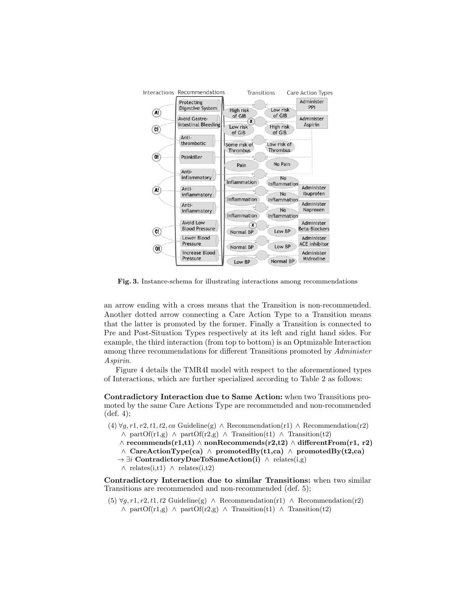

Fig. 3. Instance-schema for illustrating interactions among recommendations

an arrow ending with a cross means that the Transition is non-recommended. Another dotted arrow connecting a Care Action Type to a Transition means that the latter is promoted by the former. Finally a Transition is connected to Pre and Post-Situation Types respectively at its left and right hand sides. For example, the third interaction (from top to bottom) is an Optmizable Interaction among three recommendations for different Transitions promoted by Administer Aspirin.

Figure 4 details the TMR4I model with respect to the aforementioned types of Interactions, which are further specialized according to Table 2 as follows:

Contradictory Interaction due to Same Action: when two Transitions promoted by the same Care Actions Type are recommended and non-recommended  $(\text{def. 4})$ ;

(4)  $\forall q, r1, r2, t1, t2, ca$  Guideline(g) ∧ Recommendation(r1) ∧ Recommendation(r2) ∧ partOf(r1,g) ∧ partOf(r2,g) ∧ Transition(t1) ∧ Transition(t2)

 $\wedge$  recommends(r1,t1)  $\wedge$  nonRecommends(r2,t2)  $\wedge$  differentFrom(r1, r2)

- $\land$  CareActionType(ca)  $\land$  promotedBy(t1,ca)  $\land$  promotedBy(t2,ca)
- $\rightarrow \exists i$  ContradictoryDueToSameAction(i)  $\land$  relates(i,g)

```
∧ relates(i,t1) ∧ relates(i,t2)
```
Contradictory Interaction due to similar Transitions: when two similar Transitions are recommended and non-recommended (def. 5);

(5) ∀g, r1, r2, t1, t2 Guideline(g) ∧ Recommendation(r1) ∧ Recommendation(r2)  $\land$  partOf(r1,g)  $\land$  partOf(r2,g)  $\land$  Transition(t1)  $\land$  Transition(t2)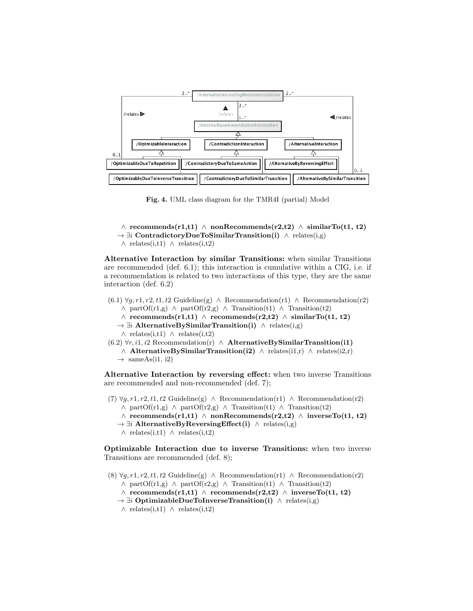

Fig. 4. UML class diagram for the TMR4I (partial) Model

 $\land$  recommends(r1,t1)  $\land$  nonRecommends(r2,t2)  $\land$  similarTo(t1, t2)  $\rightarrow \exists i$  ContradictoryDueToSimilarTransition(i)  $\land$  relates(i,g) ∧ relates(i,t1) ∧ relates(i,t2)

Alternative Interaction by similar Transitions: when similar Transitions are recommended (def. 6.1); this interaction is cumulative within a CIG, i.e. if a recommendation is related to two interactions of this type, they are the same interaction (def. 6.2)

 $(6.1) \forall g, r1, r2, t1, t2$  Guideline(g)  $\land$  Recommendation(r1)  $\land$  Recommendation(r2)  $\land$  partOf(r1,g)  $\land$  partOf(r2,g)  $\land$  Transition(t1)  $\land$  Transition(t2) ∧ recommends(r1,t1) ∧ recommends(r2,t2) ∧ similarTo(t1, t2)  $\rightarrow \exists i$  AlternativeBySimilarTransition(i)  $\land$  relates(i,g)  $\land$  relates(i,t1)  $\land$  relates(i,t2) (6.2)  $\forall r, i1, i2$  Recommendation(r) ∧ AlternativeBySimilarTransition(i1)

 $\wedge$  AlternativeBySimilarTransition(i2)  $\wedge$  relates(i1,r)  $\wedge$  relates(i2,r)  $\rightarrow$  sameAs(i1, i2)

Alternative Interaction by reversing effect: when two inverse Transitions are recommended and non-recommended (def. 7);

- (7)  $\forall g, r1, r2, t1, t2$  Guideline(g) ∧ Recommendation(r1) ∧ Recommendation(r2)  $\land$  partOf(r1,g)  $\land$  partOf(r2,g)  $\land$  Transition(t1)  $\land$  Transition(t2)  $\wedge$  recommends(r1,t1)  $\wedge$  nonRecommends(r2,t2)  $\wedge$  inverseTo(t1, t2)
	- $\rightarrow \exists i$  AlternativeByReversingEffect(i)  $\land$  relates(i,g)
	- ∧ relates(i,t1) ∧ relates(i,t2)

Optimizable Interaction due to inverse Transitions: when two inverse Transitions are recommended (def. 8);

(8)  $\forall g, r1, r2, t1, t2$  Guideline(g) ∧ Recommendation(r1) ∧ Recommendation(r2) ∧ partOf(r1,g) ∧ partOf(r2,g) ∧ Transition(t1) ∧ Transition(t2)  $\land$  recommends(r1,t1)  $\land$  recommends(r2,t2)  $\land$  inverseTo(t1, t2)  $\rightarrow \exists i$  OptimizableDueToInverseTransition(i)  $\land$  relates(i,g) ∧ relates(i,t1) ∧ relates(i,t2)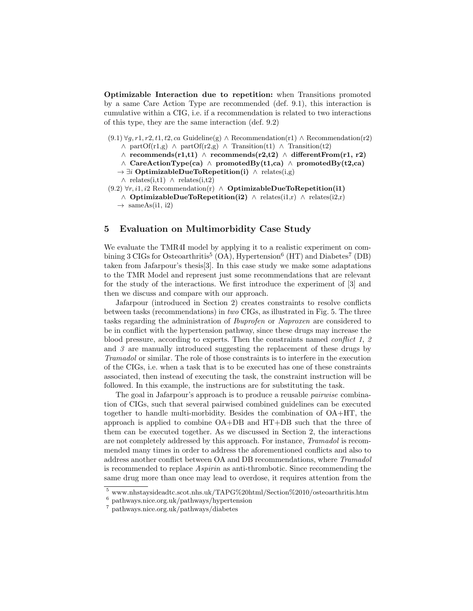Optimizable Interaction due to repetition: when Transitions promoted by a same Care Action Type are recommended (def. 9.1), this interaction is cumulative within a CIG, i.e. if a recommendation is related to two interactions of this type, they are the same interaction (def. 9.2)

```
(9.1) \forall g, r1, r2, t1, t2, ca Guideline(g) \land Recommendation(r1) \land Recommendation(r2)
     \land partOf(r1,g) \land partOf(r2,g) \land Transition(t1) \land Transition(t2)
```
 $\land$  recommends(r1,t1)  $\land$  recommends(r2,t2)  $\land$  differentFrom(r1, r2)

```
\land CareActionType(ca) \land promotedBy(t1,ca) \land promotedBy(t2,ca)
```

```
\rightarrow \exists i OptimizableDueToRepetition(i) \land relates(i,g)
```
∧ relates(i,t1) ∧ relates(i,t2)

```
(9.2) \forall r, i1, i2 Recommendation(r) \wedge OptimizableDueToRepetition(i1)
```

```
∧ OptimizableDueToRepetition(i2) \land relates(i1,r) \land relates(i2,r)
\rightarrow sameAs(i1, i2)
```
## 5 Evaluation on Multimorbidity Case Study

We evaluate the TMR4I model by applying it to a realistic experiment on combining 3 CIGs for Osteoarthritis<sup>5</sup> (OA), Hypertension<sup>6</sup> (HT) and Diabetes<sup>7</sup> (DB) taken from Jafarpour's thesis[3]. In this case study we make some adaptations to the TMR Model and represent just some recommendations that are relevant for the study of the interactions. We first introduce the experiment of [3] and then we discuss and compare with our approach.

Jafarpour (introduced in Section 2) creates constraints to resolve conflicts between tasks (recommendations) in two CIGs, as illustrated in Fig. 5. The three tasks regarding the administration of Ibuprofen or Naproxen are considered to be in conflict with the hypertension pathway, since these drugs may increase the blood pressure, according to experts. Then the constraints named conflict 1, 2 and 3 are manually introduced suggesting the replacement of these drugs by Tramadol or similar. The role of those constraints is to interfere in the execution of the CIGs, i.e. when a task that is to be executed has one of these constraints associated, then instead of executing the task, the constraint instruction will be followed. In this example, the instructions are for substituting the task.

The goal in Jafarpour's approach is to produce a reusable pairwise combination of CIGs, such that several pairwised combined guidelines can be executed together to handle multi-morbidity. Besides the combination of OA+HT, the approach is applied to combine OA+DB and HT+DB such that the three of them can be executed together. As we discussed in Section 2, the interactions are not completely addressed by this approach. For instance, Tramadol is recommended many times in order to address the aforementioned conflicts and also to address another conflict between OA and DB recommendations, where Tramadol is recommended to replace Aspirin as anti-thrombotic. Since recommending the same drug more than once may lead to overdose, it requires attention from the

 $^5$ www.nhstaysideadtc.scot.nhs.uk/TAPG%20html/Section%2010/osteoarthritis.htm

<sup>6</sup> pathways.nice.org.uk/pathways/hypertension

<sup>7</sup> pathways.nice.org.uk/pathways/diabetes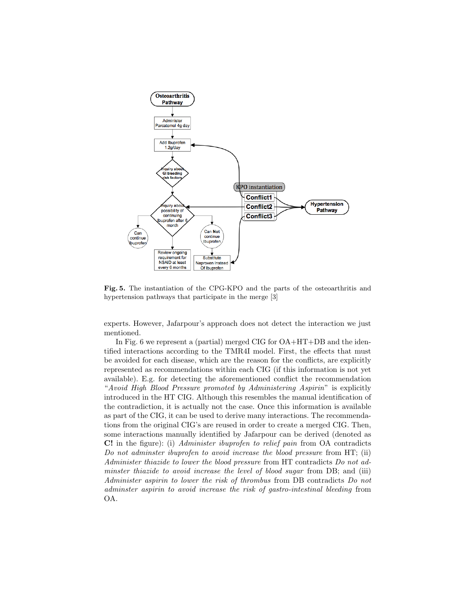

Fig. 5. The instantiation of the CPG-KPO and the parts of the osteoarthritis and hypertension pathways that participate in the merge [3]

experts. However, Jafarpour's approach does not detect the interaction we just mentioned.

In Fig. 6 we represent a (partial) merged CIG for OA+HT+DB and the identified interactions according to the TMR4I model. First, the effects that must be avoided for each disease, which are the reason for the conflicts, are explicitly represented as recommendations within each CIG (if this information is not yet available). E.g. for detecting the aforementioned conflict the recommendation "Avoid High Blood Pressure promoted by Administering Aspirin" is explicitly introduced in the HT CIG. Although this resembles the manual identification of the contradiction, it is actually not the case. Once this information is available as part of the CIG, it can be used to derive many interactions. The recommendations from the original CIG's are reused in order to create a merged CIG. Then, some interactions manually identified by Jafarpour can be derived (denoted as C! in the figure): (i) Administer ibuprofen to relief pain from OA contradicts Do not adminster ibuprofen to avoid increase the blood pressure from HT; (ii) Administer thiazide to lower the blood pressure from HT contradicts Do not adminster thiazide to avoid increase the level of blood sugar from DB; and (iii) Administer aspirin to lower the risk of thrombus from DB contradicts Do not adminster aspirin to avoid increase the risk of gastro-intestinal bleeding from OA.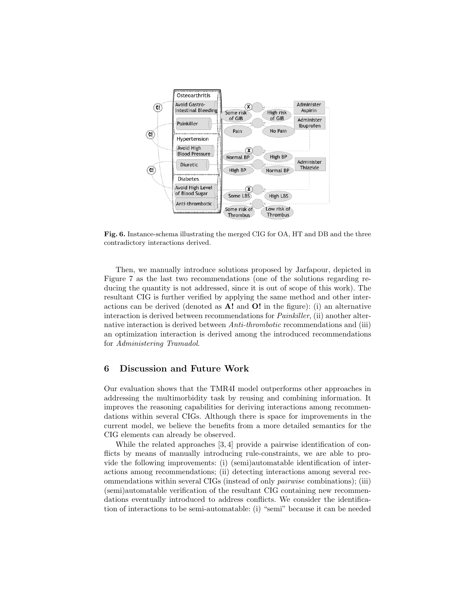

Fig. 6. Instance-schema illustrating the merged CIG for OA, HT and DB and the three contradictory interactions derived.

Then, we manually introduce solutions proposed by Jarfapour, depicted in Figure 7 as the last two recommendations (one of the solutions regarding reducing the quantity is not addressed, since it is out of scope of this work). The resultant CIG is further verified by applying the same method and other interactions can be derived (denoted as  $\bf{A}!$  and  $\bf{O}!$  in the figure): (i) an alternative interaction is derived between recommendations for Painkiller, (ii) another alternative interaction is derived between Anti-thrombotic recommendations and (iii) an optimization interaction is derived among the introduced recommendations for Administering Tramadol.

#### 6 Discussion and Future Work

Our evaluation shows that the TMR4I model outperforms other approaches in addressing the multimorbidity task by reusing and combining information. It improves the reasoning capabilities for deriving interactions among recommendations within several CIGs. Although there is space for improvements in the current model, we believe the benefits from a more detailed semantics for the CIG elements can already be observed.

While the related approaches [3, 4] provide a pairwise identification of conflicts by means of manually introducing rule-constraints, we are able to provide the following improvements: (i) (semi)automatable identification of interactions among recommendations; (ii) detecting interactions among several recommendations within several CIGs (instead of only pairwise combinations); (iii) (semi)automatable verification of the resultant CIG containing new recommendations eventually introduced to address conflicts. We consider the identification of interactions to be semi-automatable: (i) "semi" because it can be needed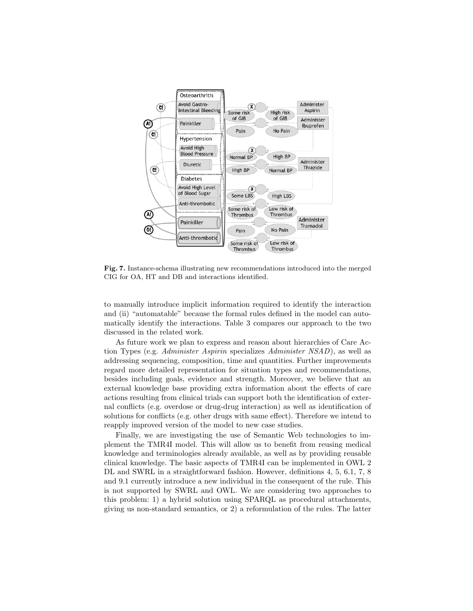

Fig. 7. Instance-schema illustrating new recommendations introduced into the merged CIG for OA, HT and DB and interactions identified.

to manually introduce implicit information required to identify the interaction and (ii) "automatable" because the formal rules defined in the model can automatically identify the interactions. Table 3 compares our approach to the two discussed in the related work.

As future work we plan to express and reason about hierarchies of Care Action Types (e.g. Administer Aspirin specializes Administer NSAD), as well as addressing sequencing, composition, time and quantities. Further improvements regard more detailed representation for situation types and recommendations, besides including goals, evidence and strength. Moreover, we believe that an external knowledge base providing extra information about the effects of care actions resulting from clinical trials can support both the identification of external conflicts (e.g. overdose or drug-drug interaction) as well as identification of solutions for conflicts (e.g. other drugs with same effect). Therefore we intend to reapply improved version of the model to new case studies.

Finally, we are investigating the use of Semantic Web technologies to implement the TMR4I model. This will allow us to benefit from reusing medical knowledge and terminologies already available, as well as by providing reusable clinical knowledge. The basic aspects of TMR4I can be implemented in OWL 2 DL and SWRL in a straightforward fashion. However, definitions 4, 5, 6.1, 7, 8 and 9.1 currently introduce a new individual in the consequent of the rule. This is not supported by SWRL and OWL. We are considering two approaches to this problem: 1) a hybrid solution using SPARQL as procedural attachments, giving us non-standard semantics, or 2) a reformulation of the rules. The latter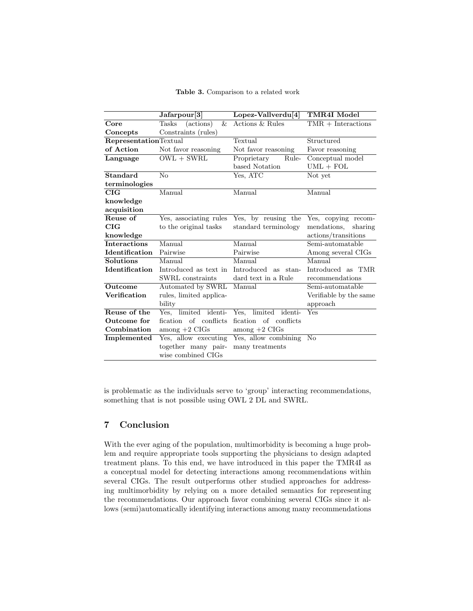|  | Table 3. Comparison to a related work |  |  |  |
|--|---------------------------------------|--|--|--|
|--|---------------------------------------|--|--|--|

|                       | Jafarpour[3]            | Lopez-Vallverdu[4]         | TMR4I Model            |  |
|-----------------------|-------------------------|----------------------------|------------------------|--|
| Core                  | Tasks<br>(actions)<br>& | Actions & Rules            | $TMR + Interactions$   |  |
| Concepts              | Constraints (rules)     |                            |                        |  |
| RepresentationTextual |                         | Textual                    | Structured             |  |
| of Action             | Not favor reasoning     | Not favor reasoning        | Favor reasoning        |  |
| Language              | $OWL + SWRL$            | Rule-<br>Proprietary       | Conceptual model       |  |
|                       |                         | based Notation             | $UML + FOL$            |  |
| <b>Standard</b>       | No                      | Yes, ATC                   | Not yet                |  |
| terminologies         |                         |                            |                        |  |
| CIG                   | Manual                  | Manual                     | Manual                 |  |
| knowledge             |                         |                            |                        |  |
| acquisition           |                         |                            |                        |  |
| Reuse of              | Yes, associating rules  | Yes, by reusing the        | Yes, copying recom-    |  |
| CIG                   | to the original tasks   | standard terminology       | mendations,<br>sharing |  |
| knowledge             |                         |                            | actions/transitions    |  |
| <b>Interactions</b>   | Manual                  | Manual                     | Semi-automatable       |  |
| <b>Identification</b> | Pairwise                | Pairwise                   | Among several CIGs     |  |
| <b>Solutions</b>      | Manual                  | Manual                     | Manual                 |  |
| Identification        | Introduced as text in   | Introduced<br>as stan-     | Introduced as TMR      |  |
|                       | SWRL constraints        | dard text in a Rule        | recommendations        |  |
| Outcome               | Automated by SWRL       | Manual                     | Semi-automatable       |  |
| Verification          | rules, limited applica- |                            | Verifiable by the same |  |
|                       | bility                  |                            | approach               |  |
| Reuse of the          | limited identi-<br>Yes. | limited<br>identi-<br>Yes. | Yes                    |  |
| Outcome for           | fication of conflicts   | fication of conflicts      |                        |  |
| Combination           | among $+2$ CIGs         | $among +2CIGs$             |                        |  |
| Implemented           | Yes, allow executing    | Yes, allow combining       | No                     |  |
|                       | together many pair-     | many treatments            |                        |  |
|                       | wise combined CIGs      |                            |                        |  |

is problematic as the individuals serve to 'group' interacting recommendations, something that is not possible using OWL 2 DL and SWRL.

# 7 Conclusion

With the ever aging of the population, multimorbidity is becoming a huge problem and require appropriate tools supporting the physicians to design adapted treatment plans. To this end, we have introduced in this paper the TMR4I as a conceptual model for detecting interactions among recommendations within several CIGs. The result outperforms other studied approaches for addressing multimorbidity by relying on a more detailed semantics for representing the recommendations. Our approach favor combining several CIGs since it allows (semi)automatically identifying interactions among many recommendations